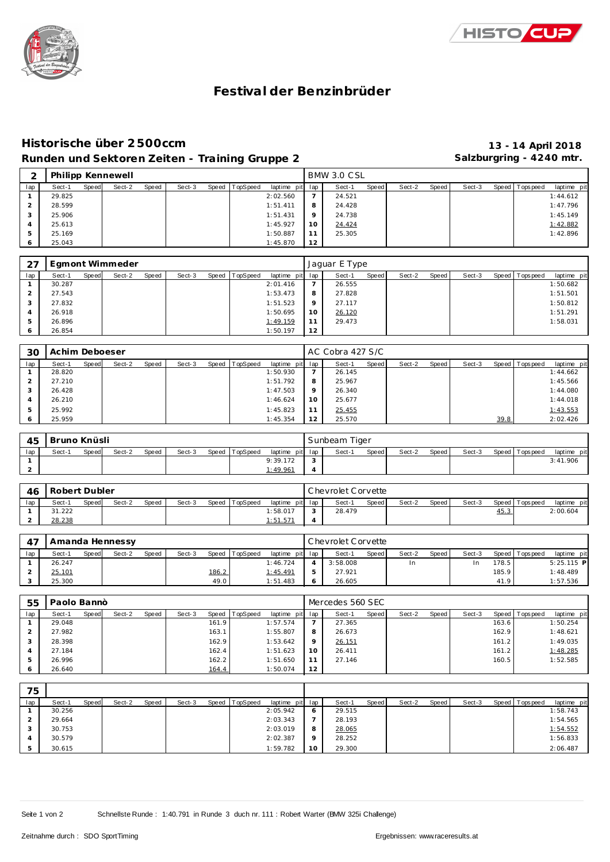



# **Festival der Benzinbrüder**

## **Historische über 2500ccm 13 - 14 April 2018** Runden und Sektoren Zeiten - Training Gruppe 2 **Salzburgring - 4240 mtr.**

|     |        |       | Philipp Kennewell |       |        |                |                 |         | <b>BMW 3.0 CSL</b> |       |        |       |        |                 |             |
|-----|--------|-------|-------------------|-------|--------|----------------|-----------------|---------|--------------------|-------|--------|-------|--------|-----------------|-------------|
| lap | Sect-1 | Speed | Sect-2            | Speed | Sect-3 | Speed TopSpeed | laptime pit lap |         | Sect-1             | Speed | Sect-2 | Speed | Sect-3 | Speed Tops peed | laptime pit |
|     | 29.825 |       |                   |       |        |                | 2:02.560        |         | 24.521             |       |        |       |        |                 | 1:44.612    |
|     | 28.599 |       |                   |       |        |                | 1:51.411        | 8       | 24.428             |       |        |       |        |                 | 1:47.796    |
|     | 25.906 |       |                   |       |        |                | 1:51.431        | $\circ$ | 24.738             |       |        |       |        |                 | 1:45.149    |
|     | 25.613 |       |                   |       |        |                | 1:45.927        | 10      | 24.424             |       |        |       |        |                 | 1:42.882    |
|     | 25.169 |       |                   |       |        |                | 1:50.887        | 11      | 25.305             |       |        |       |        |                 | 1:42.896    |
|     | 25.043 |       |                   |       |        |                | 1:45.870        | 12      |                    |       |        |       |        |                 |             |

| 27      |        |       | Egmont Wimmeder |       |        |       |          |                 |         | Jaquar E Type |       |        |       |        |                |             |
|---------|--------|-------|-----------------|-------|--------|-------|----------|-----------------|---------|---------------|-------|--------|-------|--------|----------------|-------------|
| lap     | Sect-1 | Speed | Sect-2          | Speed | Sect-3 | Speed | TopSpeed | laptime pit lap |         | Sect-1        | Speed | Sect-2 | Speed | Sect-3 | Speed Topspeed | laptime pit |
|         | 30.287 |       |                 |       |        |       |          | 2:01.416        |         | 26.555        |       |        |       |        |                | 1:50.682    |
|         | 27.543 |       |                 |       |        |       |          | 1:53.473        | 8       | 27.828        |       |        |       |        |                | 1:51.501    |
| 3       | 27.832 |       |                 |       |        |       |          | 1:51.523        | $\circ$ | 27.117        |       |        |       |        |                | 1:50.812    |
|         | 26.918 |       |                 |       |        |       |          | 1:50.695        | 10      | 26.120        |       |        |       |        |                | 1:51.291    |
| 5       | 26.896 |       |                 |       |        |       |          | 1:49.159        |         | 29.473        |       |        |       |        |                | 1:58.031    |
| $\circ$ | 26.854 |       |                 |       |        |       |          | 1:50.197        | 12      |               |       |        |       |        |                |             |

| 30  | Achim Deboeser |       |        |       |        |                |                 |    | AC Cobra 427 S/C |       |        |       |        |      |                 |             |
|-----|----------------|-------|--------|-------|--------|----------------|-----------------|----|------------------|-------|--------|-------|--------|------|-----------------|-------------|
| lap | Sect-1         | Speed | Sect-2 | Speed | Sect-3 | Speed TopSpeed | laptime pit lap |    | Sect-1           | Speed | Sect-2 | Speed | Sect-3 |      | Speed Tops peed | laptime pit |
|     | 28.820         |       |        |       |        |                | 1:50.930        |    | 26.145           |       |        |       |        |      |                 | 1:44.662    |
|     | 27.210         |       |        |       |        |                | 1:51.792        | 8  | 25.967           |       |        |       |        |      |                 | 1:45.566    |
| 3   | 26.428         |       |        |       |        |                | 1:47.503        | 9  | 26.340           |       |        |       |        |      |                 | 1:44.080    |
|     | 26.210         |       |        |       |        |                | 1:46.624        | 10 | 25.677           |       |        |       |        |      |                 | 1:44.018    |
| 5   | 25.992         |       |        |       |        |                | 1:45.823        | 11 | 25.455           |       |        |       |        |      |                 | 1:43.553    |
|     | 25.959         |       |        |       |        |                | 1:45.354        | 12 | 25.570           |       |        |       |        | 39.8 |                 | 2:02.426    |

| 45  | Bruno Knüsli |       |        |              |        |                |                 |        | Sunbeam Tiger |       |        |       |        |                   |             |
|-----|--------------|-------|--------|--------------|--------|----------------|-----------------|--------|---------------|-------|--------|-------|--------|-------------------|-------------|
| lap | Sect-1       | Speed | Sect-2 | <b>Speed</b> | Sect-3 | Speed TopSpeed | laptime pit lap |        | Sect-         | Speed | Sect-2 | Speed | Sect-3 | Speed   Tops peed | laptime pit |
|     |              |       |        |              |        |                | 9:39.172        | $\sim$ |               |       |        |       |        |                   | 3:41.906    |
|     |              |       |        |              |        |                | 1:49.961        |        |               |       |        |       |        |                   |             |

| 46  | Robert Dubler |              |        |              |        |       |          |                 | Chevrolet Corvette |       |        |       |        |      |                 |             |
|-----|---------------|--------------|--------|--------------|--------|-------|----------|-----------------|--------------------|-------|--------|-------|--------|------|-----------------|-------------|
| lap | Sect-1        | <b>Speed</b> | Sect-2 | <b>Speed</b> | Sect-3 | Speed | TopSpeed | laptime pit lap | Sect-1             | Speed | Sect-2 | Speed | Sect-3 |      | Speed Tops peed | laptime pit |
|     | 31.222        |              |        |              |        |       |          | :58.017         | 28.479             |       |        |       |        | 45.3 |                 | 2:00.604    |
|     | 28.238        |              |        |              |        |       |          | 1:51.57'        |                    |       |        |       |        |      |                 |             |

| $\Lambda$ |        |       | Amanda Hennessy |       |        |       |                |                 | Chevrolet Corvette |              |        |         |        |       |                   |              |
|-----------|--------|-------|-----------------|-------|--------|-------|----------------|-----------------|--------------------|--------------|--------|---------|--------|-------|-------------------|--------------|
| lap       | Sect-1 | Speed | Sect-2          | Speed | Sect-3 |       | Speed TopSpeed | laptime pit lap | Sect-1             | <b>Speed</b> | Sect-2 | Speed I | Sect-3 |       | Speed   Tops peed | laptime pit  |
|           | 26.247 |       |                 |       |        |       |                | 1:46.724        | 3:58.008           |              | In     |         |        | 178.5 |                   | $5:25.115$ P |
|           | 25.101 |       |                 |       |        | 186.2 |                | 1:45.491        | 27.921             |              |        |         |        | 185.9 |                   | 1:48.489     |
|           | 25.300 |       |                 |       |        | 49.0  |                | 1:51.483        | 26.605             |              |        |         |        | 41.9  |                   | 1:57.536     |

| 55  | Paolo Bannò |       |        |       |        |       |          |                 |         | Mercedes 560 SEC |       |        |       |        |       |                 |             |
|-----|-------------|-------|--------|-------|--------|-------|----------|-----------------|---------|------------------|-------|--------|-------|--------|-------|-----------------|-------------|
| lap | Sect-1      | Speed | Sect-2 | Speed | Sect-3 | Speed | TopSpeed | laptime pit lap |         | Sect-1           | Speed | Sect-2 | Speed | Sect-3 |       | Speed Tops peed | laptime pit |
|     | 29.048      |       |        |       |        | 161.9 |          | 1:57.574        |         | 27.365           |       |        |       |        | 163.6 |                 | 1:50.254    |
| ∠   | 27.982      |       |        |       |        | 163.1 |          | 1:55.807        | 8       | 26.673           |       |        |       |        | 162.9 |                 | 1:48.621    |
|     | 28.398      |       |        |       |        | 162.9 |          | 1:53.642        | $\circ$ | 26.151           |       |        |       |        | 161.2 |                 | 1:49.035    |
| 4   | 27.184      |       |        |       |        | 162.4 |          | 1:51.623        | 10      | 26.411           |       |        |       |        | 161.2 |                 | 1:48.285    |
| .5  | 26.996      |       |        |       |        | 162.2 |          | 1:51.650        |         | 27.146           |       |        |       |        | 160.5 |                 | 1:52.585    |
|     | 26.640      |       |        |       |        | 164.4 |          | 1:50.074        | 12      |                  |       |        |       |        |       |                 |             |

| 75  |        |       |        |       |        |                |                 |          |        |       |        |       |        |                  |             |
|-----|--------|-------|--------|-------|--------|----------------|-----------------|----------|--------|-------|--------|-------|--------|------------------|-------------|
| lap | Sect-1 | Speed | Sect-2 | Speed | Sect-3 | Speed TopSpeed | laptime pit lap |          | Sect-1 | Speed | Sect-2 | Speed | Sect-3 | Speed   Topspeed | laptime pit |
|     | 30.256 |       |        |       |        |                | 2:05.942        | O        | 29.515 |       |        |       |        |                  | 1:58.743    |
|     | 29.664 |       |        |       |        |                | 2:03.343        |          | 28.193 |       |        |       |        |                  | 1:54.565    |
|     | 30.753 |       |        |       |        |                | 2:03.019        | 8        | 28.065 |       |        |       |        |                  | 1:54.552    |
|     | 30.579 |       |        |       |        |                | 2:02.387        | $\Omega$ | 28.252 |       |        |       |        |                  | 1:56.833    |
|     | 30.615 |       |        |       |        |                | 1:59.782        | 10       | 29.300 |       |        |       |        |                  | 2:06.487    |